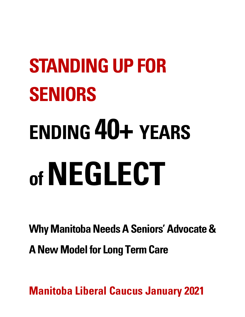# **STANDING UP FOR SENIORS ENDING 40+ YEARS of NEGLECT**

**Why Manitoba Needs A Seniors' Advocate & ANew Model for Long Term Care**

**Manitoba Liberal Caucus January 2021**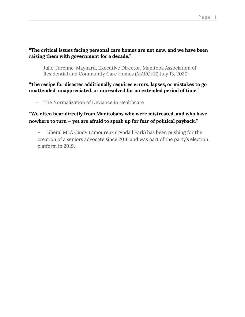# **"The critical issues facing personal care homes are not new, and we have been raising them with government for a decade."**

- Julie Turenne-Maynard, Executive Director, Manitoba Association of Residential and Community Care Homes (MARCHE) July 13, 20201

# **"The recipe for disaster additionally requires errors, lapses, or mistakes to go unattended, unappreciated, or unresolved for an extended period of time."**

- The Normalization of Deviance in Healthcare

# **"We often hear directly from Manitobans who were mistreated, and who have nowhere to turn — yet are afraid to speak up for fear of political payback."**

- Liberal MLA Cindy Lamoureux (Tyndall Park) has been pushing for the creation of a seniors advocate since 2016 and was part of the party's election platform in 2019.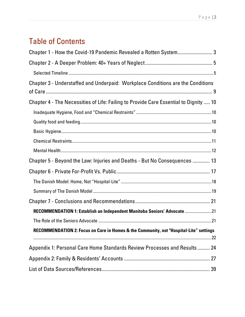# Table of Contents

| Chapter 1 - How the Covid-19 Pandemic Revealed a Rotten System 3                       |  |
|----------------------------------------------------------------------------------------|--|
|                                                                                        |  |
|                                                                                        |  |
| Chapter 3 - Understaffed and Underpaid: Workplace Conditions are the Conditions        |  |
| Chapter 4 - The Necessities of Life: Failing to Provide Care Essential to Dignity  10  |  |
|                                                                                        |  |
|                                                                                        |  |
|                                                                                        |  |
|                                                                                        |  |
|                                                                                        |  |
| Chapter 5 - Beyond the Law: Injuries and Deaths - But No Consequences  13              |  |
|                                                                                        |  |
|                                                                                        |  |
|                                                                                        |  |
|                                                                                        |  |
| RECOMMENDATION 1: Establish an Independent Manitoba Seniors' Advocate 21               |  |
|                                                                                        |  |
| RECOMMENDATION 2: Focus on Care in Homes & the Community, not "Hospital-Lite" settings |  |
| Appendix 1: Personal Care Home Standards Review Processes and Results  24              |  |
|                                                                                        |  |
|                                                                                        |  |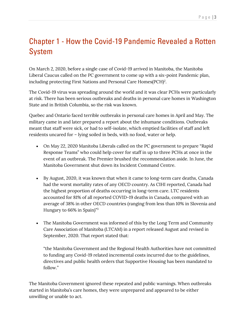# Chapter 1 - How the Covid-19 Pandemic Revealed a Rotten System

On March 2, 2020, before a single case of Covid-19 arrived in Manitoba, the Manitoba Liberal Caucus called on the PC government to come up with a six-point Pandemic plan, including protecting First Nations and Personal Care Homes $(PCH)^2$ .

The Covid-19 virus was spreading around the world and it was clear PCHs were particularly at risk. There has been serious outbreaks and deaths in personal care homes in Washington State and in British Columbia, so the risk was known.

Quebec and Ontario faced terrible outbreaks in personal care homes in April and May. The military came in and later prepared a report about the inhumane conditions. Outbreaks meant that staff were sick, or had to self-isolate, which emptied facilities of staff and left residents uncared for – lying soiled in beds, with no food, water or help.

- On May 22, 2020 Manitoba Liberals called on the PC government to prepare "Rapid Response Teams" who could help cover for staff in up to three PCHs at once in the event of an outbreak. The Premier brushed the recommendation aside. In June, the Manitoba Government shut down its Incident Command Centre.
- By August, 2020, it was known that when it came to long-term care deaths, Canada had the worst mortality rates of any OECD country. As CIHI reported, Canada had the highest proportion of deaths occurring in long-term care. LTC residents accounted for 81% of all reported COVID-19 deaths in Canada, compared with an average of 38% in other OECD countries (ranging from less than 10% in Slovenia and Hungary to 66% in Spain)" 3
- The Manitoba Government was informed of this by the Long Term and Community Care Association of Manitoba (LTCAM) in a report released August and revised in September, 2020. That report stated that:

"the Manitoba Government and the Regional Health Authorities have not committed to funding any Covid-19 related incremental costs incurred due to the guidelines, directives and public health orders that Supportive Housing has been mandated to follow."

The Manitoba Government ignored these repeated and public warnings. When outbreaks started in Manitoba's care homes, they were unprepared and appeared to be either unwilling or unable to act.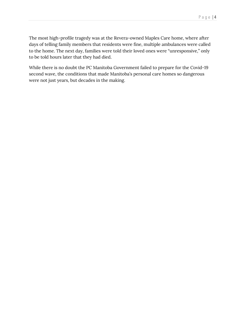The most high-profile tragedy was at the Revera-owned Maples Care home, where after days of telling family members that residents were fine, multiple ambulances were called to the home. The next day, families were told their loved ones were "unresponsive," only to be told hours later that they had died.

While there is no doubt the PC Manitoba Government failed to prepare for the Covid-19 second wave, the conditions that made Manitoba's personal care homes so dangerous were not just years, but decades in the making.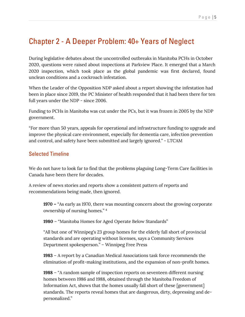# Chapter 2 - A Deeper Problem: 40+ Years of Neglect

During legislative debates about the uncontrolled outbreaks in Manitoba PCHs in October 2020, questions were raised about inspections at Parkview Place. It emerged that a March 2020 inspection, which took place as the global pandemic was first declared, found unclean conditions and a cockroach infestation.

When the Leader of the Opposition NDP asked about a report showing the infestation had been in place since 2019, the PC Minister of health responded that it had been there for ten full years under the NDP - since 2006.

Funding to PCHs in Manitoba was cut under the PCs, but it was frozen in 2005 by the NDP government.

"For more than 50 years, appeals for operational and infrastructure funding to upgrade and improve the physical care environment, especially for dementia care, infection prevention and control, and safety have been submitted and largely ignored." - LTCAM

# Selected Timeline

We do not have to look far to find that the problems plaguing Long-Term Care facilities in Canada have been there for decades.

A review of news stories and reports show a consistent pattern of reports and recommendations being made, then ignored.

**1970 –** "As early as 1970, there was mounting concern about the growing corporate ownership of nursing homes." 4

**1980** – "Manitoba Homes for Aged Operate Below Standards"

"All but one of Winnipeg's 23 group homes for the elderly fall short of provincial standards and are operating without licenses, says a Community Services Department spokesperson." – Winnipeg Free Press

**1983** – A report by a Canadian Medical Associations task force recommends the elimination of profit-making institutions, and the expansion of non-profit homes.

**1988** – "A random sample of inspection reports on seventeen different nursing homes between 1986 and 1988, obtained through the Manitoba Freedom of Information Act, shows that the homes usually fall short of these [government] standards. The reports reveal homes that are dangerous, dirty, depressing and depersonalized."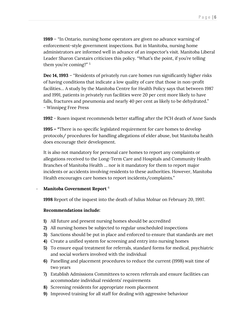**1989** – "In Ontario, nursing home operators are given no advance warning of enforcement-style government inspections. But in Manitoba, nursing home administrators are informed well in advance of an inspector's visit. Manitoba Liberal Leader Sharon Carstairs criticizes this policy. "What's the point, if you're telling them you're coming?" 5

**Dec 14, 1993** – "Residents of privately run care homes run significantly higher risks of having conditions that indicate a low quality of care that those in non-profit facilities… A study by the Manitoba Centre for Health Policy says that between 1987 and 1991, patients in privately run facilities were 20 per cent more likely to have falls, fractures and pneumonia and nearly 40 per cent as likely to be dehydrated." - Winnipeg Free Press

**1992** - Rusen inquest recommends better staffing after the PCH death of Anne Sands

**1995 – "**There is no specific legislated requirement for care homes to develop protocols/ procedures for handling allegations of elder abuse, but Manitoba health does encourage their development.

It is also not mandatory for personal care homes to report any complaints or allegations received to the Long-Term Care and Hospitals and Community Health Branches of Manitoba Health … nor is it mandatory for them to report major incidents or accidents involving residents to these authorities. However, Manitoba Health encourages care homes to report incidents/complaints."

#### - **Manitoba Government Report** <sup>6</sup>

**1998** Report of the inquest into the death of Julius Molnar on February 20, 1997.

## **Recommendations include:**

- **1)** All future and present nursing homes should be accredited
- **2)** All nursing homes be subjected to regular unscheduled inspections
- **3)** Sanctions should be put in place and enforced to ensure that standards are met
- **4)** Create a unified system for screening and entry into nursing homes
- **5)** To ensure equal treatment for referrals, standard forms for medical, psychiatric and social workers involved with the individual
- **6)** Panelling and placement procedures to reduce the current (1998) wait time of two years
- **7)** Establish Admissions Committees to screen referrals and ensure facilities can accommodate individual residents' requirements
- **8)** Screening residents for appropriate room placement
- **9)** Improved training for all staff for dealing with aggressive behaviour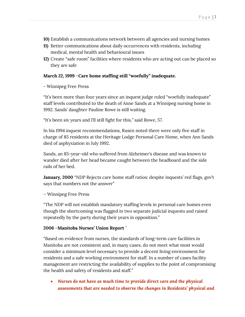- **10)** Establish a communications network between all agencies and nursing homes
- **11)** Better communications about daily occurrences with residents, including medical, mental health and behavioural issues
- **12)** Create "safe room" facilities where residents who are acting out can be placed so they are safe

#### **March 22, 1999** –**Care home staffing still "woefully" inadequate.**

- Winnipeg Free Press

"It's been more than four years since an inquest judge ruled "woefully inadequate" staff levels contributed to the death of Anne Sands at a Winnipeg nursing home in 1992. Sands' daughter Pauline Rowe is still waiting.

"It's been six years and I'll still fight for this," said Rowe, 57.

In his 1994 inquest recommendations, Rusen noted there were only five staff in charge of 85 residents at the Heritage Lodge Personal Care Home, when Ann Sands died of asphyxiation in July 1992.

Sands, an 85-year-old who suffered from Alzheimer's disease and was known to wander died after her head became caught between the headboard and the side rails of her bed.

**January, 2000** "NDP Rejects care home staff ratios: despite inquests' red flags, gov't says that numbers not the answer"

#### – Winnipeg Free Press

"The NDP will not establish mandatory staffing levels in personal care homes even though the shortcoming was flagged in two separate judicial inquests and raised repeatedly by the party during their years in opposition."

#### **2006** –**Manitoba Nurses' Union Report** <sup>7</sup>

"Based on evidence from nurses, the standards of long-term care facilities in Manitoba are not consistent and, in many cases, do not meet what most would consider a minimum level necessary to provide a decent living environment for residents and a safe working environment for staff. In a number of cases facility management are restricting the availability of supplies to the point of compromising the health and safety of residents and staff."

• *Nurses do not have as much time to provide direct care and the physical assessments that are needed to observe the changes in Residents' physical and*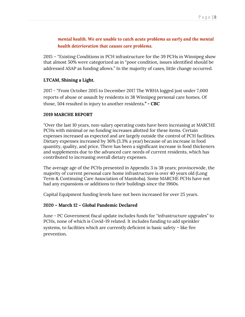# *mental health. We are unable to catch acute problems as early and the mental health deterioration that causes care problems.*

2015 – "Existing Conditions in PCH infrastructure for the 39 PCHs in Winnipeg show that almost 50% were categorized as in "poor condition, issues identified should be addressed ASAP as funding allows." In the majority of cases, little change occurred.

## **LTCAM, Shining a Light.**

2017 - "From October 2015 to December 2017 The WRHA logged just under 7,000 reports of abuse or assault by residents in 38 Winnipeg personal care homes. Of those, 504 resulted in injury to another residents*." - CBC*

#### **2019 MARCHE REPORT**

"Over the last 10 years, non-salary operating costs have been increasing at MARCHE PCHs with minimal or no funding increases allotted for these items. Certain expenses increased as expected and are largely outside the control of PCH facilities. Dietary expenses increased by 36% (3.3% a year) because of an increase in food quantity, quality, and price. There has been a significant increase in food thickeners and supplements due to the advanced care needs of current residents, which has contributed to increasing overall dietary expenses.

The average age of the PCHs presented in Appendix 3 is 38 years; provincewide, the majority of current personal care home infrastructure is over 40 years old (Long Term & Continuing Care Association of Manitoba). Some MARCHE PCHs have not had any expansions or additions to their buildings since the 1960s.

Capital Equipment funding levels have not been increased for over 25 years.

## **2020 – March 12 – Global Pandemic Declared**

June - PC Government fiscal update includes funds for "infrastructure upgrades" to PCHs, none of which is Covid-19 related. It includes funding to add sprinkler systems, to facilities which are currently deficient in basic safety – like fire prevention.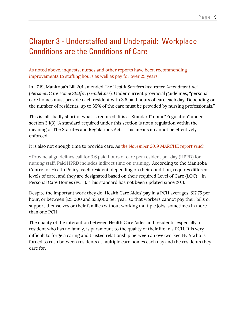# Chapter 3 - Understaffed and Underpaid: Workplace Conditions are the Conditions of Care

As noted above, inquests, nurses and other reports have been recommending improvements to staffing hours as well as pay for over 25 years.

In 2019, Manitoba's Bill 201 amended *The Health Services Insurance Amendment Act (Personal Care Home Staffing Guidelines).* Under current provincial guidelines, "personal care homes must provide each resident with 3.6 paid hours of care each day. Depending on the number of residents, up to 35% of the care must be provided by nursing professionals."

This is falls badly short of what is required. It is a "Standard" not a "Regulation" under section 3.1(3) "A standard required under this section is not a regulation within the meaning of The Statutes and Regulations Act." This means it cannot be effectively enforced.

It is also not enough time to provide care. As *the November 2019 MARCHE report read:*

• Provincial guidelines call for 3.6 paid hours of care per resident per day (HPRD) for nursing staff. Paid HPRD includes indirect time on training. According to the Manitoba Centre for Health Policy, each resident, depending on their condition, requires different levels of care, and they are designated based on their required Level of Care (LOC) - In Personal Care Homes (PCH). This standard has not been updated since 2011.

Despite the important work they do, Health Care Aides' pay in a PCH averages. \$17.75 per hour, or between \$25,000 and \$33,000 per year, so that workers cannot pay their bills or support themselves or their families without working multiple jobs, sometimes in more than one PCH.

The quality of the interaction between Health Care Aides and residents, especially a resident who has no family, is paramount to the quality of their life in a PCH. It is very difficult to forge a caring and trusted relationship between an overworked HCA who is forced to rush between residents at multiple care homes each day and the residents they care for.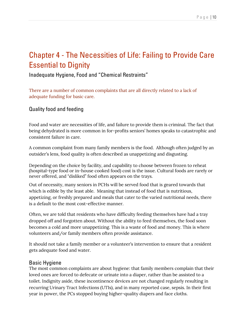# Chapter 4 - The Necessities of Life: Failing to Provide Care Essential to Dignity

Inadequate Hygiene, Food and "Chemical Restraints"

There are a number of common complaints that are all directly related to a lack of adequate funding for basic care.

# Quality food and feeding

Food and water are necessities of life, and failure to provide them is criminal. The fact that being dehydrated is more common in for-profits seniors' homes speaks to catastrophic and consistent failure in care.

A common complaint from many family members is the food. Although often judged by an outsider's lens, food quality is often described as unappetizing and disgusting.

Depending on the choice by facility, and capability to choose between frozen to reheat (hospital-type food or in-house cooked food) cost is the issue. Cultural foods are rarely or never offered, and "disliked" food often appears on the trays.

Out of necessity, many seniors in PCHs will be served food that is geared towards that which is edible by the least able. Meaning that instead of food that is nutritious, appetizing, or freshly prepared and meals that cater to the varied nutritional needs, there is a default to the most cost-effective manner.

Often, we are told that residents who have difficulty feeding themselves have had a tray dropped off and forgotten about. Without the ability to feed themselves, the food soon becomes a cold and more unappetizing. This is a waste of food and money. This is where volunteers and/or family members often provide assistance.

It should not take a family member or a volunteer's intervention to ensure that a resident gets adequate food and water.

# Basic Hygiene

The most common complaints are about hygiene: that family members complain that their loved ones are forced to defecate or urinate into a diaper, rather than be assisted to a toilet. Indignity aside, these incontinence devices are not changed regularly resulting in recurring Urinary Tract Infections (UTIs), and in many reported case, sepsis. In their first year in power, the PCs stopped buying higher-quality diapers and face cloths.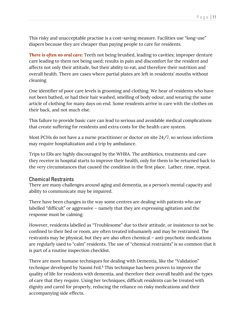This risky and unacceptable practise is a cost-saving measure. Facilities use "long-use" diapers because they are cheaper than paying people to care for residents.

**There is often no oral care:** Teeth not being brushed, leading to cavities; improper denture care leading to them not being used; results in pain and discomfort for the resident and affects not only their attitude, but their ability to eat, and therefore their nutrition and overall health. There are cases where partial plates are left in residents' mouths without cleaning.

One identifier of poor care levels is grooming and clothing. We hear of residents who have not been bathed, or had their hair washed, smelling of body odour, and wearing the same article of clothing for many days on end. Some residents arrive in care with the clothes on their back, and not much else.

This failure to provide basic care can lead to serious and avoidable medical complications that create suffering for residents and extra costs for the health care system.

Most PCHs do not have a a nurse practitioner or doctor on site 24/7, so serious infections may require hospitalization and a trip by ambulance.

Trips to ERs are highly discouraged by the WHRA. The antibiotics, treatments and care they receive in hospital starts to improve their health, only for them to be returned back to the very circumstances that caused the condition in the first place. Lather, rinse, repeat.

## Chemical Restraints

There are many challenges around aging and dementia, as a person's mental capacity and ability to communicate may be impaired.

There have been changes in the way some centres are dealing with patients who are labelled "difficult" or aggressive – namely that they are expressing agitation and the response must be calming.

However, residents labelled as "Troublesome" due to their attitude, or insistence to not be confined to their bed or room, are often treated inhumanely and may be restrained. The restraints may be physical, but they are also often chemical – anti-psychotic medications are regularly used to "calm" residents. The use of "chemical restraints" is so common that it is part of a routine inspection checklist.

There are more humane techniques for dealing with Dementia, like the "Validation" technique developed by Naomi Feil. <sup>8</sup> This technique has been proven to improve the quality of life for residents with dementia, and therefore their overall health and the types of care that they require. Using her techniques, difficult residents can be treated with dignity and cared for properly, reducing the reliance on risky medications and their accompanying side effects.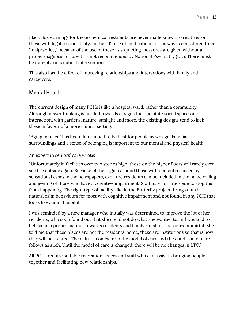Black Box warnings for these chemical restraints are never made known to relatives or those with legal responsibility. In the UK, use of medications in this way is considered to be "malpractice," because of the use of these as a quieting measures are given without a proper diagnosis for use. It is not recommended by National Psychiatry (UK). There must be non-pharmaceutical interventions.

This also has the effect of improving relationships and interactions with family and caregivers.

# Mental Health

The current design of many PCHs is like a hospital ward, rather than a community. Although newer thinking is headed towards designs that facilitate social spaces and interaction, with gardens, nature, sunlight and more, the existing designs tend to lack these in favour of a more clinical setting.

"Aging in place" has been determined to be best for people as we age. Familiar surroundings and a sense of belonging is important to our mental and physical health.

An expert in seniors' care wrote:

"Unfortunately in facilities over two stories high, those on the higher floors will rarely ever see the outside again. Because of the stigma around those with dementia caused by sensational cases in the newspapers, even the residents can be included in the name calling and jeering of those who have a cognitive impairment. Staff may not intercede to stop this from happening. The right type of facility, like in the Butterfly project, brings out the natural calm behaviours for most with cognitive impairment and not found in any PCH that looks like a mini hospital.

I was reminded by a new manager who initially was determined to improve the lot of her residents, who soon found out that she could not do what she wanted to and was told to behave in a proper manner towards residents and family - distant and non-committal. She told me that these places are not the residents' home, these are institutions so that is how they will be treated. The culture comes from the model of care and the condition of care follows as such. Until the model of care is changed, there will be no changes in LTC."

All PCHs require suitable recreation spaces and staff who can assist in bringing people together and facilitating new relationships.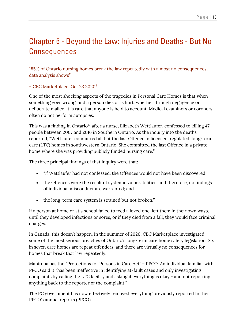## Page | 13

# Chapter 5 - Beyond the Law: Injuries and Deaths - But No **Consequences**

"85% of Ontario nursing homes break the law repeatedly with almost no consequences, data analysis shows"

# – CBC Marketplace, Oct 23 2020<sup>9</sup>

One of the most shocking aspects of the tragedies in Personal Care Homes is that when something goes wrong, and a person dies or is hurt, whether through negligence or deliberate malice, it is rare that anyone is held to account. Medical examiners or coroners often do not perform autopsies.

This was a finding in Ontario<sup>10</sup> after a nurse, Elizabeth Wettlaufer, confessed to killing 47 people between 2007 and 2016 in Southern Ontario. As the inquiry into the deaths reported, "Wettlaufer committed all but the last Offence in licensed, regulated, long-term care (LTC) homes in southwestern Ontario. She committed the last Offence in a private home where she was providing publicly funded nursing care."

The three principal findings of that inquiry were that:

- "if Wettlaufer had not confessed, the Offences would not have been discovered;
- the Offences were the result of systemic vulnerabilities, and therefore, no findings of individual misconduct are warranted; and
- the long-term care system is strained but not broken."

If a person at home or at a school failed to feed a loved one, left them in their own waste until they developed infections or sores, or if they died from a fall, they would face criminal charges.

In Canada, this doesn't happen. In the summer of 2020, CBC Marketplace investigated some of the most serious breaches of Ontario's long-term care home safety legislation. Six in seven care homes are repeat offenders, and there are virtually no consequences for homes that break that law repeatedly.

Manitoba has the "Protections for Persons in Care Act" – PPCO. An individual familiar with PPCO said it "has been ineffective in identifying at-fault cases and only investigating complaints by calling the LTC facility and asking if everything is okay - and not reporting anything back to the reporter of the complaint."

The PC government has now effectively removed everything previously reported In their PPCO's annual reports (PPCO).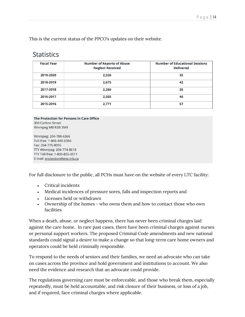This is the current status of the PPCO's updates on their website.

| <b>Statistics</b> |  |
|-------------------|--|
|                   |  |

| <b>Fiscal Year</b> | <b>Number of Reports of Abuse</b><br><b>Neglect Received</b> | <b>Number of Educational Sessions</b><br><b>Delivered</b> |
|--------------------|--------------------------------------------------------------|-----------------------------------------------------------|
| 2019-2020          | 2,526                                                        | 35                                                        |
| 2018-2019          | 2,675                                                        | 42                                                        |
| 2017-2018          | 2,266                                                        | 26                                                        |
| 2016-2017          | 2,505                                                        | 46                                                        |
| 2015-2016          | 2,771                                                        | 57                                                        |

The Protection for Persons in Care Office 300 Carlton Street Winnipeg MB R3B 3M9

Winnipeg: 204-788-6366 Toll-free: 1-866-440-6366 Fax: 204-775-8055 TTY Winnipeg: 204-774-8618 TTY Toll-free: 1-800-855-0511 E-mail: protection@gov.mb.ca

For full disclosure to the public, all PCHs must have on the website of every LTC facility:

- Critical incidents
- Medical incidences of pressure sores, falls and inspection reports and
- Licenses held or withdrawn
- Ownership of the homes who owns them and how to contact those who own facilities

When a death, abuse, or neglect happens, there has never been criminal charges laid against the care home. In rare past cases, there have been criminal charges against nurses or personal support workers. The proposed Criminal Code amendments and new national standards could signal a desire to make a change so that long-term care home owners and operators could be held criminally responsible.

To respond to the needs of seniors and their families, we need an advocate who can take on cases across the province and hold government and institutions to account. We also need the evidence and research that an advocate could provide.

The regulations governing care must be enforceable, and those who break them, especially repeatedly, must be held accountable, and risk closure of their business, or loss of a job, and if required, face criminal charges where applicable.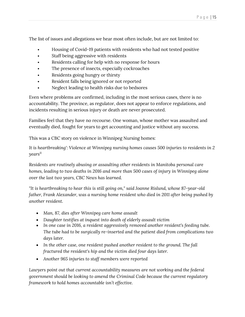The list of issues and allegations we hear most often include, but are not limited to:

- Housing of Covid-19 patients with residents who had not tested positive
- Staff being aggressive with residents
- Residents calling for help with no response for hours
- The presence of insects, especially cockroaches
- Residents going hungry or thirsty
- Resident falls being ignored or not reported
- Neglect leading to health risks due to bedsores

Even where problems are confirmed, including in the most serious cases, there is no accountability. The province, as regulator, does not appear to enforce regulations, and incidents resulting in serious injury or death are never prosecuted.

Families feel that they have no recourse. One woman, whose mother was assaulted and eventually died, fought for years to get accounting and justice without any success.

This was a CBC story on violence in Winnipeg Nursing homes:

*It is heartbreaking': Violence at Winnipeg nursing homes causes 500 injuries to residents in 2 years<sup>11</sup>*

*Residents are routinely abusing or assaulting other residents in Manitoba personal care homes, leading to two deaths in 2016 and more than 500 cases of injury in Winnipeg alone over the last two years, CBC News has learned.*

*"It is heartbreaking to hear this is still going on," said Joanne Rislund, whose 87-year-old father, Frank Alexander, was a nursing home resident who died in 2011 after being pushed by another resident.*

- *Man, 87, dies after Winnipeg care home assault*
- *Daughter testifies at inquest into death of elderly assault victim*
- *In one case in 2016, a resident aggressively removed another resident's feeding tube. The tube had to be surgically re-inserted and the patient died from complications two days later.*
- *In the other case, one resident pushed another resident to the ground. The fall fractured the resident's hip and the victim died four days later.*
- *Another 965 injuries to staff members were reported*

*Lawyers point out that current accountability measures are not working and the federal government should be looking to amend the Criminal Code because the current regulatory framework to hold homes accountable isn't effective.*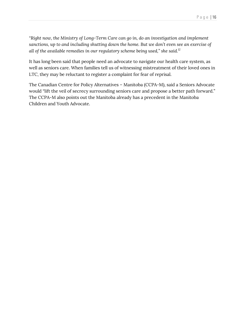*"Right now, the Ministry of Long-Term Care can go in, do an investigation and implement sanctions, up to and including shutting down the home. But we don't even see an exercise of all of the available remedies in our regulatory scheme being used," she said.<sup>12</sup>*

It has long been said that people need an advocate to navigate our health care system, as well as seniors care. When families tell us of witnessing mistreatment of their loved ones in LTC, they may be reluctant to register a complaint for fear of reprisal.

The Canadian Centre for Policy Alternatives – Manitoba (CCPA-M), said a Seniors Advocate would "lift the veil of secrecy surrounding seniors care and propose a better path forward." The CCPA-M also points out the Manitoba already has a precedent in the Manitoba Children and Youth Advocate.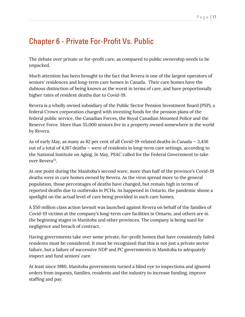# Chapter 6 - Private For-Profit Vs. Public

The debate over private or for-profit care, as compared to public ownership needs to be unpacked.

Much attention has been brought to the fact that Revera is one of the largest operators of seniors' residences and long-term care homes in Canada. Their care homes have the dubious distinction of being known as the worst in terms of care, and have proportionally higher rates of resident deaths due to Covid-19.

Revera is a wholly owned subsidiary of the Public Sector Pension Investment Board (PSP), a federal Crown corporation charged with investing funds for the pension plans of the federal public service, the Canadian Forces, the Royal Canadian Mounted Police and the Reserve Force. More than 55,000 seniors live in a property owned somewhere in the world by Revera.

As of early May, as many as 82 per cent of all Covid-19-related deaths in Canada  $-3,436$ out of a total of 4,167 deaths — were of residents in long-term care settings, according to the National Institute on Aging. In May, PSAC called for the Federal Government to take over Revera<sup>13</sup>.

At one point during the Manitoba's second wave, more than half of the province's Covid-19 deaths were in care homes owned by Revera. As the virus spread more to the general population, those percentages of deaths have changed, but remain high in terms of reported deaths due to outbreaks in PCHs. As happened in Ontario, the pandemic shone a spotlight on the actual level of care being provided in such care homes.

A \$50 million class action lawsuit was launched against Revera on behalf of the families of Covid-19 victims at the company's long-term care facilities in Ontario, and others are in the beginning stages in Manitoba and other provinces. The company is being sued for negligence and breach of contract.

Having governments take over some private, for-profit homes that have consistently failed residents must be considered. It must be recognized that this is not just a private sector failure, but a failure of successive NDP and PC governments in Manitoba to adequately inspect and fund seniors' care.

At least since 1980, Manitoba governments turned a blind eye to inspections and ignored orders from inquests, families, residents and the industry to increase funding, improve staffing and pay.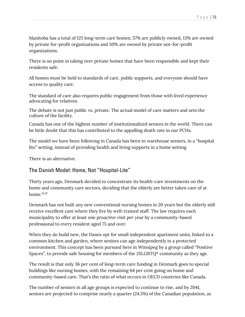Manitoba has a total of 125 long-term care homes; 57% are publicly owned, 13% are owned by private for-profit organizations and 30% are owned by private not-for-profit organizations.

There is no point in taking over private homes that have been responsible and kept their residents safe.

All homes must be held to standards of care, public supports, and everyone should have access to quality care.

The standard of care also requires public engagement from those with lived experience advocating for relatives.

The debate is not just public vs. private. The actual model of care matters and sets the culture of the facility.

Canada has one of the highest number of institutionalized seniors in the world. There can be little doubt that this has contributed to the appalling death rate in our PCHs.

The model we have been following in Canada has been to warehouse seniors, in a "hospital lite" setting, instead of providing health and living supports in a home setting.

There is an alternative.

# The Danish Model: Home, Not "Hospital-Lite"

Thirty years ago, Denmark decided to concentrate its health-care investments on the home and community care sectors, deciding that the elderly are better taken care of at home. $14,15$ 

Denmark has not built any new conventional nursing homes in 20 years but the elderly still receive excellent care where they live by well-trained staff. The law requires each municipality to offer at least one proactive visit per year by a community-based professional to every resident aged 75 and over.

When they do build new, the Danes opt for small independent apartment units, linked to a common kitchen and garden, where seniors can age independently in a protected environment. This concept has been pursued here in Winnipeg by a group called "Positive Spaces", to provide safe housing for members of the 2SLGBTQ\* community as they age.

The result is that only 36 per cent of long-term care funding in Denmark goes to special buildings like nursing homes, with the remaining 64 per cent going on home and community-based care. That's the ratio of what occurs in OECD countries like Canada.

The number of seniors in all age groups is expected to continue to rise, and by 2041, seniors are projected to comprise nearly a quarter (24.5%) of the Canadian population, as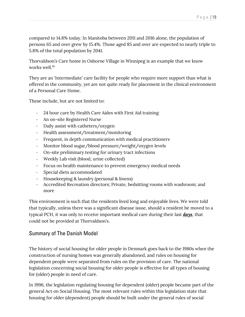compared to 14.8% today. In Manitoba between 2011 and 2016 alone, the population of persons 65 and over grew by 15.4%. Those aged 85 and over are expected to nearly triple to 5.8% of the total population by 2041.

Thorvaldson's Care home in Osborne Village in Winnipeg is an example that we know works well.<sup>16</sup>

They are an 'Intermediate' care facility for people who require more support than what is offered in the community, yet are not quite ready for placement in the clinical environment of a Personal Care Home.

These include, but are not limited to:

- 24 hour care by Health Care Aides with First Aid training
- An on-site Registered Nurse
- Daily assist with catheters/oxygen
- Health assessment/treatment/monitoring
- Frequent, in depth communication with medical practitioners
- Monitor blood sugar/blood pressure/weight/oxygen levels
- On-site preliminary testing for urinary tract infections
- Weekly Lab visit (blood, urine collected)
- Focus on health maintenance to prevent emergency medical needs
- Special diets accommodated
- Housekeeping & laundry (personal & linens)
- Accredited Recreation directors; Private, bedsitting rooms with washroom; and more

This environment is such that the residents lived long and enjoyable lives. We were told that typically, unless there was a significant disease issue, should a resident be moved to a typical PCH, it was only to receive important medical care during their last *days*, that could not be provided at Thorvaldson's.

# Summary of The Danish Model

The history of social housing for older people in Denmark goes back to the 1980s when the construction of nursing homes was generally abandoned, and rules on housing for dependent people were separated from rules on the provision of care. The national legislation concerning social housing for older people is effective for all types of housing for (older) people in need of care.

In 1996, the legislation regulating housing for dependent (older) people became part of the general Act on Social Housing. The most relevant rules within this legislation state that housing for older (dependent) people should be built under the general rules of social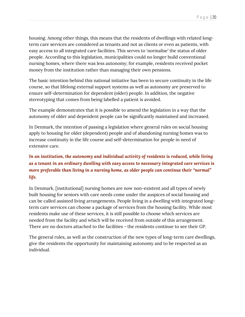housing. Among other things, this means that the residents of dwellings with related longterm care services are considered as tenants and not as clients or even as patients, with easy access to all integrated care facilities. This serves to 'normalise' the status of older people. According to this legislation, municipalities could no longer build conventional nursing homes, where there was less autonomy; for example, residents received pocket money from the institution rather than managing their own pensions.

The basic intention behind this national initiative has been to secure continuity in the life course, so that lifelong external support systems as well as autonomy are preserved to ensure self-determination for dependent (older) people. In addition, the negative stereotyping that comes from being labelled a patient is avoided.

The example demonstrates that it is possible to amend the legislation in a way that the autonomy of older and dependent people can be significantly maintained and increased.

In Denmark, the intention of passing a legislation where general rules on social housing apply to housing for older (dependent) people and of abandoning nursing homes was to increase continuity in the life course and self-determination for people in need of extensive care.

# *In an institution, the autonomy and individual activity of residents is reduced, while living as a tenant in an ordinary dwelling with easy access to necessary integrated care services is more preferable than living in a nursing home, as older people can continue their "normal" life.*

In Denmark, [institutional] nursing homes are now non-existent and all types of newly built housing for seniors with care needs come under the auspices of social housing and can be called assisted living arrangements. People living in a dwelling with integrated longterm care services can choose a package of services from the housing facility. While most residents make use of these services, it is still possible to choose which services are needed from the facility and which will be received from outside of this arrangement. There are no doctors attached to the facilities - the residents continue to see their GP.

The general rules, as well as the construction of the new types of long-term care dwellings, give the residents the opportunity for maintaining autonomy and to be respected as an individual.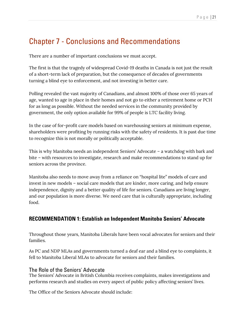# Chapter 7 - Conclusions and Recommendations

There are a number of important conclusions we must accept.

The first is that the tragedy of widespread Covid-19 deaths in Canada is not just the result of a short-term lack of preparation, but the consequence of decades of governments turning a blind eye to enforcement, and not investing in better care.

Polling revealed the vast majority of Canadians, and almost 100% of those over 65 years of age, wanted to age in place in their homes and not go to either a retirement home or PCH for as long as possible. Without the needed services in the community provided by government, the only option available for 99% of people is LTC facility living.

In the case of for-profit care models based on warehousing seniors at minimum expense, shareholders were profiting by running risks with the safety of residents. It is past due time to recognize this is not morally or politically acceptable.

This is why Manitoba needs an independent Seniors' Advocate – a watchdog with bark and bite – with resources to investigate, research and make recommendations to stand up for seniors across the province.

Manitoba also needs to move away from a reliance on "hospital lite" models of care and invest in new models – social care models that are kinder, more caring, and help ensure independence, dignity and a better quality of life for seniors. Canadians are living longer, and our population is more diverse. We need care that is culturally appropriate, including food.

# **RECOMMENDATION 1: Establish an Independent Manitoba Seniors' Advocate**

Throughout those years, Manitoba Liberals have been vocal advocates for seniors and their families.

As PC and NDP MLAs and governments turned a deaf ear and a blind eye to complaints, it fell to Manitoba Liberal MLAs to advocate for seniors and their families.

# The Role of the Seniors' Advocate

The Seniors' Advocate in British Columbia receives complaints, makes investigations and performs research and studies on every aspect of public policy affecting seniors' lives.

The Office of the Seniors Advocate should include: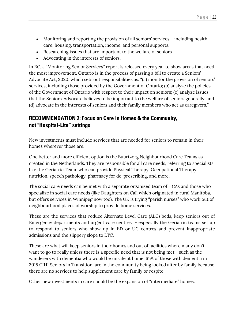- Monitoring and reporting the provision of all seniors' services including health care, housing, transportation, income, and personal supports.
- Researching issues that are important to the welfare of seniors
- Advocating in the interests of seniors.

In BC, a "Monitoring Senior Services" report is released every year to show areas that need the most improvement. Ontario is in the process of passing a bill to create a Seniors' Advocate Act, 2020, which sets out responsibilities as: "(a) monitor the provision of seniors' services, including those provided by the Government of Ontario; (b) analyze the policies of the Government of Ontario with respect to their impact on seniors; (c) analyze issues that the Seniors' Advocate believes to be important to the welfare of seniors generally; and (d) advocate in the interests of seniors and their family members who act as caregivers."

# **RECOMMENDATION 2: Focus on Care in Homes & the Community, not "Hospital-Lite" settings**

New investments must include services that are needed for seniors to remain in their homes wherever those are.

One better and more efficient option is the Buurtzorg Neighbourhood Care Teams as created in the Netherlands. They are responsible for all care needs, referring to specialists like the Geriatric Team, who can provide Physical Therapy, Occupational Therapy, nutrition, speech pathology, pharmacy for de-prescribing, and more.

The social care needs can be met with a separate organized team of HCAs and those who specialize in social care needs (like Daughters on Call which originated in rural Manitoba, but offers services in Winnipeg now too). The UK is trying "parish nurses" who work out of neighbourhood places of worship to provide home services.

These are the services that reduce Alternate Level Care (ALC) beds, keep seniors out of Emergency departments and urgent care centres - especially the Geriatric teams set up to respond to seniors who show up in ED or UC centres and prevent inappropriate admissions and the slippery slope to LTC.

These are what will keep seniors in their homes and out of facilities where many don't want to go to really unless there is a specific need that is not being met - such as the wanderers with dementia who would be unsafe at home. 61% of those with dementia in 2015 CIHI Seniors in Transition, are in the community being looked after by family because there are no services to help supplement care by family or respite.

Other new investments in care should be the expansion of "intermediate" homes.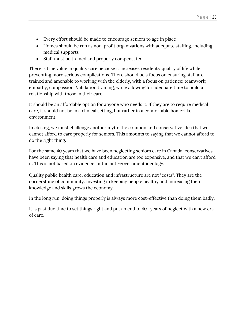- Every effort should be made to encourage seniors to age in place
- Homes should be run as non-profit organizations with adequate staffing, including medical supports
- Staff must be trained and properly compensated

There is true value in quality care because it increases residents' quality of life while preventing more serious complications. There should be a focus on ensuring staff are trained and amenable to working with the elderly, with a focus on patience; teamwork; empathy; compassion; Validation training; while allowing for adequate time to build a relationship with those in their care.

It should be an affordable option for anyone who needs it. If they are to require medical care, it should not be in a clinical setting, but rather in a comfortable home-like environment.

In closing, we must challenge another myth: the common and conservative idea that we cannot afford to care properly for seniors. This amounts to saying that we cannot afford to do the right thing.

For the same 40 years that we have been neglecting seniors care in Canada, conservatives have been saying that health care and education are too expensive, and that we can't afford it. This is not based on evidence, but in anti-government ideology.

Quality public health care, education and infrastructure are not "costs". They are the cornerstone of community. Investing in keeping people healthy and increasing their knowledge and skills grows the economy.

In the long run, doing things properly is always more cost-effective than doing them badly.

It is past due time to set things right and put an end to 40+ years of neglect with a new era of care.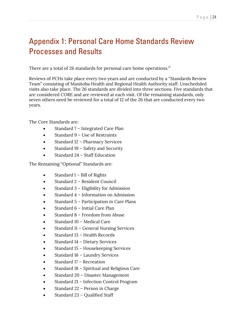# Appendix 1: Personal Care Home Standards Review Processes and Results

There are a total of 26 standards for personal care home operations. $^{17}$ 

Reviews of PCHs take place every two years and are conducted by a "Standards Review Team" consisting of Manitoba Health and Regional Health Authority staff. Unscheduled visits also take place. The 26 standards are divided into three sections. Five standards that are considered CORE and are reviewed at each visit. Of the remaining standards, only seven others need be reviewed for a total of 12 of the 26 that are conducted every two years.

The Core Standards are:

- Standard 7 Integrated Care Plan
- Standard 9 Use of Restraints
- Standard 12 Pharmacy Services
- Standard 19 Safety and Security
- Standard 24 Staff Education

The Remaining "Optional" Standards are:

- Standard 1 Bill of Rights
- Standard 2 Resident Council
- Standard 3 Eligibility for Admission
- Standard 4 Information on Admission
- Standard 5 Participation in Care Plans
- Standard 6 Initial Care Plan
- Standard 8 Freedom from Abuse
- Standard 10 Medical Care
- Standard 11 General Nursing Services
- Standard 13 Health Records
- Standard 14 Dietary Services
- Standard 15 Housekeeping Services
- Standard 16 Laundry Services
- Standard 17 Recreation
- Standard 18 Spiritual and Religious Care
- Standard 20 Disaster Management
- Standard 21 Infection Control Program
- Standard 22 Person in Charge
- Standard 23 Qualified Staff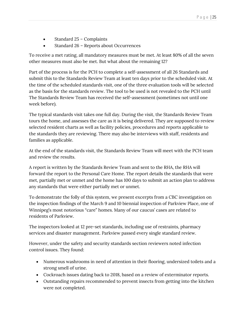- Standard 25 Complaints
- Standard 26 Reports about Occurrences

To receive a met rating, all mandatory measures must be met. At least 80% of all the seven other measures must also be met. But what about the remaining 12?

Part of the process is for the PCH to complete a self-assessment of all 26 Standards and submit this to the Standards Review Team at least ten days prior to the scheduled visit. At the time of the scheduled standards visit, one of the three evaluation tools will be selected as the basis for the standards review. The tool to be used is not revealed to the PCH until The Standards Review Team has received the self-assessment (sometimes not until one week before).

The typical standards visit takes one full day. During the visit, the Standards Review Team tours the home, and assesses the care as it is being delivered. They are supposed to review selected resident charts as well as facility policies, procedures and reports applicable to the standards they are reviewing. There may also be interviews with staff, residents and families as applicable.

At the end of the standards visit, the Standards Review Team will meet with the PCH team and review the results.

A report is written by the Standards Review Team and sent to the RHA, the RHA will forward the report to the Personal Care Home. The report details the standards that were met, partially met or unmet and the home has 100 days to submit an action plan to address any standards that were either partially met or unmet.

To demonstrate the folly of this system, we present excerpts from a CBC investigation on the inspection findings of the March 9 and 10 biennial inspection of Parkview Place, one of Winnipeg's most notorious "care" homes. Many of our caucus' cases are related to residents of Parkview.

The inspectors looked at 12 pre-set standards, including use of restraints, pharmacy services and disaster management. Parkview passed every single standard review.

However, under the safety and security standards section reviewers noted infection control issues. They found:

- Numerous washrooms in need of attention in their flooring, undersized toilets and a strong smell of urine.
- Cockroach issues dating back to 2018, based on a review of exterminator reports.
- Outstanding repairs recommended to prevent insects from getting into the kitchen were not completed.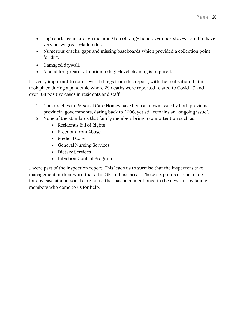- High surfaces in kitchen including top of range hood over cook stoves found to have very heavy grease-laden dust.
- Numerous cracks, gaps and missing baseboards which provided a collection point for dirt.
- Damaged drywall.
- A need for "greater attention to high-level cleaning is required.

It is very important to note several things from this report, with the realization that it took place during a pandemic where 29 deaths were reported related to Covid-19 and over 108 positive cases in residents and staff.

- 1. Cockroaches in Personal Care Homes have been a known issue by both previous provincial governments, dating back to 2006, yet still remains an "ongoing issue".
- 2. None of the standards that family members bring to our attention such as:
	- Resident's Bill of Rights
	- Freedom from Abuse
	- Medical Care
	- General Nursing Services
	- Dietary Services
	- Infection Control Program

…were part of the inspection report. This leads us to surmise that the inspectors take management at their word that all is OK in those areas. These six points can be made for any case at a personal care home that has been mentioned in the news, or by family members who come to us for help.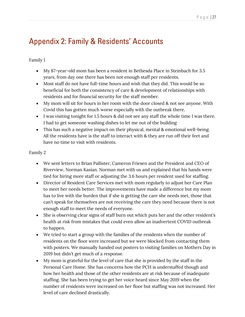# Appendix 2: Family & Residents' Accounts

# Family 1

- My 87-year-old mom has been a resident in Bethesda Place in Steinbach for 3.5 years, from day one there has been not enough staff per residents.
- Most staff do not have full-time hours and wish that they did. This would be so beneficial for both the consistency of care & development of relationships with residents and for financial security for the staff member.
- My mom will sit for hours in her room with the door closed & not see anyone. With Covid this has gotten much worse especially with the outbreak there.
- I was visiting tonight for 1.5 hours & did not see any staff the whole time I was there. I had to get someone washing dishes to let me out of the building
- This has such a negative impact on their physical, mental & emotional well-being. All the residents have is the staff to interact with & they are run off their feet and have no time to visit with residents.

- We sent letters to Brian Pallister, Cameron Friesen and the President and CEO of Riverview, Norman Kasian. Norman met with us and explained that his hands were tied for hiring more staff or adjusting the 3.6 hours per resident used for staffing.
- Director of Resident Care Services met with mom regularly to adjust her Care Plan to meet her needs better. The improvements have made a difference but my mom has to live with the burden that if she is getting the care she needs met, those that can't speak for themselves are not receiving the care they need because there is not enough staff to meet the needs of everyone.
- She is observing clear signs of staff burn out which puts her and the other resident's health at risk from mistakes that could even allow an inadvertent COVID outbreak to happen.
- We tried to start a group with the families of the residents when the number of residents on the floor were increased but we were blocked from contacting them with posters. We manually handed out posters to visiting families on Mothers Day in 2019 but didn't get much of a response.
- My mom is grateful for the level of care that she is provided by the staff in the Personal Care Home. She has concerns how the PCH is understaffed though and how her health and those of the other residents are at risk because of inadequate staffing. She has been trying to get her voice heard since May 2019 when the number of residents were increased on her floor but staffing was not increased. Her level of care declined drastically.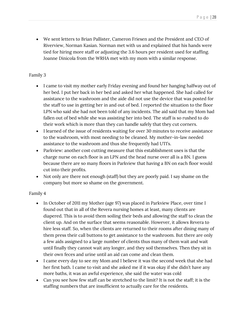• We sent letters to Brian Pallister, Cameron Friesen and the President and CEO of Riverview, Norman Kasian. Norman met with us and explained that his hands were tied for hiring more staff or adjusting the 3.6 hours per resident used for staffing. Joanne Dinicola from the WRHA met with my mom with a similar response.

## Family 3

- I came to visit my mother early Friday evening and found her hanging halfway out of her bed. I put her back in her bed and asked her what happened. She had called for assistance to the washroom and the aide did not use the device that was posted for the staff to use in getting her in and out of bed. I reported the situation to the floor LPN who said she had not been told of any incidents. The aid said that my Mom had fallen out of bed while she was assisting her into bed. The staff is so rushed to do their work which is more than they can handle safely that they cut corners.
- I learned of the issue of residents waiting for over 30 minutes to receive assistance to the washroom, with most needing to be cleaned. My mother-in-law needed assistance to the washroom and thus she frequently had UTI's.
- Parkview: another cost cutting measure that this establishment uses is that the charge nurse on each floor is an LPN and the head nurse over all is a BN. I guess because there are so many floors in Parkview that having a BN on each floor would cut into their profits.
- Not only are there not enough (staff) but they are poorly paid. I say shame on the company but more so shame on the government.

- In October of 2011 my Mother (age 97) was placed in Parkview Place, over time I found out that in all of the Revera nursing homes at least, many clients are diapered. This is to avoid them soiling their beds and allowing the staff to clean the client up. And on the surface that seems reasonable. However, it allows Revera to hire less staff. So, when the clients are returned to their rooms after dining many of them press their call buttons to get assistance to the washroom. But there are only a few aids assigned to a large number of clients thus many of them wait and wait until finally they cannot wait any longer, and they soil themselves. Then they sit in their own feces and urine until an aid can come and clean them.
- I came every day to see my Mom and I believe it was the second week that she had her first bath. I came to visit and she asked me if it was okay if she didn't have any more baths, it was an awful experience, she said the water was cold
- Can you see how few staff can be stretched to the limit? It is not the staff; it is the staffing numbers that are insufficient to actually care for the residents.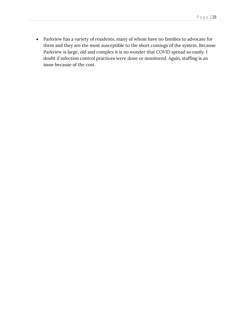• Parkview has a variety of residents, many of whom have no families to advocate for them and they are the most susceptible to the short comings of the system. Because Parkview is large, old and complex it is no wonder that COVID spread so easily. I doubt if infection control practices were done or monitored. Again, staffing is an issue because of the cost.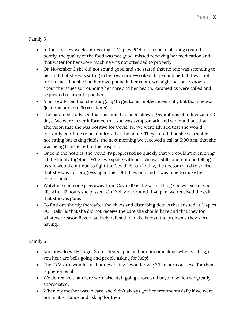- In the first few weeks of residing at Maples PCH, mom spoke of being treated poorly, the quality of the food was not good, missed receiving her medication and that water for her CPAP machine was not attended to properly.
- On November 2 she did not sound good and she stated that no one was attending to her and that she was sitting in her own urine-soaked diaper and bed. If it was not for the fact that she had her own phone in her room, we might not have known about the issues surrounding her care and her health. Paramedics were called and requested to attend upon her.
- A nurse advised that she was going to get to his mother eventually but that she was "just one nurse to 60 residents".
- The paramedic advised that his mom had been showing symptoms of influenza for 3 days. We were never informed that she was symptomatic and we found out that afternoon that she was positive for Covid-19. We were advised that she would currently continue to be monitored at the home. They stated that she was stable, not eating but taking fluids. the next morning we received a call at 5:00 a.m. that she was being transferred to the hospital.
- Once in the hospital the Covid-19 progressed so quickly that we couldn't even bring all the family together. When we spoke with her, she was still coherent and telling us she would continue to fight the Covid-19. On Friday, the doctor called to advise that she was not progressing in the right direction and it was time to make her comfortable.
- Watching someone pass away from Covid-19 is the worst thing you will see in your life. After 12 hours she passed. On Friday, at around 11:40 p.m. we received the call that she was gone.
- To find out shortly thereafter the chaos and disturbing details that ensued at Maples PCH tells us that she did not receive the care she should have and that they for whatever reason Revera actively refused to make known the problems they were having.

- And how does 1 HCA get 35 residents up in an hour, its ridiculous, when visiting, all you hear are bells going and people asking for help!
- The HCAs are wonderful, but never stay. I wonder why? The burn out level for them is phenomenal!
- We do realize that there were also staff going above and beyond which we greatly appreciated.
- When my mother was in care, she didn't always get her treatments daily if we were not in attendance and asking for them.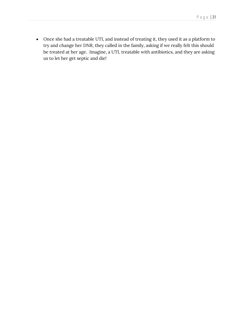• Once she had a treatable UTI, and instead of treating it, they used it as a platform to try and change her DNR, they called in the family, asking if we really felt this should be treated at her age. Imagine, a UTI, treatable with antibiotics, and they are asking us to let her get septic and die!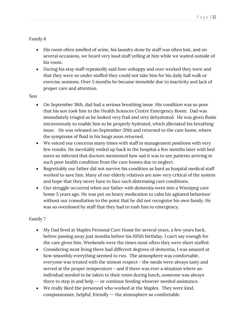- His room often smelled of urine, his laundry done by staff was often lost, and on several occasions, we heard very loud staff yelling at him while we waited outside of his room.
- During his stay staff repeatedly said how unhappy and over worked they were and that they were so under staffed they could not take him for his daily hall walk or exercise sessions. Over 5 months he became immobile due to inactivity and lack of proper care and attention.

#### Son

- On September 18th, dad had a serious breathing issue. His condition was so poor that his son took him to the Health Sciences Centre Emergency Room. Dad was immediately triaged as he looked very frail and very dehydrated. He was given fluids intravenously to enable him to be properly hydrated, which alleviated his breathing issue. He was released on September 20th and returned to the care home, where the symptoms of fluid in his lungs soon returned.
- We voiced our concerns many times with staff in management positions with very few results. He inevitably ended up back in the hospital a few months later with bed sores so infected that doctors mentioned how sad it was to see patients arriving in such poor health condition from the care homes due to neglect.
- Regrettably our father did not survive his condition as hard as hospital medical staff worked to save him. Many of our elderly relatives are now very critical of the system and hope that they never have to face such distressing care conditions.
- Our struggle occurred when our father with dementia went into a Winnipeg care home 5 years ago. He was put on heavy medication to calm his agitated behaviour without our consultation to the point that he did not recognize his own family. He was so overdosed by staff that they had to rush him to emergency.

- My Dad lived at Maples Personal Care Home for several years, a few years back, before passing away just months before his 105th birthday. I can't say enough for the care given him. Weekends were the times most often they were short staffed.
- Considering most living there had different degrees of dementia, I was amazed at how smoothly everything seemed to run. The atmosphere was comfortable, everyone was treated with the utmost respect - the meals were always tasty and served at the proper temperature - and if there was ever a situation where an individual needed to be taken to their room during lunch, someone was always there to step in and help -- or continue feeding whoever needed assistance.
- We really liked the personnel who worked at the Maples. They were kind, compassionate, helpful, friendly -- the atmosphere so comfortable.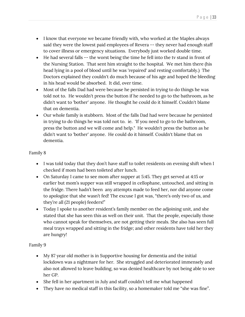- I know that everyone we became friendly with, who worked at the Maples always said they were the lowest paid employees of Revera -- they never had enough staff to cover illness or emergency situations. Everybody just worked double time.
- He had several falls -- the worst being the time he fell into the tv stand in front of the Nursing Station. That sent him straight to the hospital. We met him there (his head lying in a pool of blood until he was 'repaired' and resting comfortably.) The Doctors explained they couldn't do much because of his age and hoped the bleeding in his head would be absorbed. It did, over time.
- Most of the falls Dad had were because he persisted in trying to do things he was told not to. He wouldn't press the button if he needed to go to the bathroom, as he didn't want to 'bother' anyone. He thought he could do it himself. Couldn't blame that on dementia.
- Our whole family is stubborn. Most of the falls Dad had were because he persisted in trying to do things he was told not to. ie. 'If you need to go to the bathroom, press the button and we will come and help." He wouldn't press the button as he didn't want to 'bother' anyone. He could do it himself. Couldn't blame that on dementia.

- I was told today that they don't have staff to toilet residents on evening shift when I checked if mom had been toileted after lunch.
- On Saturday I came to see mom after supper at 5:45. They get served at 4:15 or earlier but mom's supper was still wrapped in cellophane, untouched, and sitting in the fridge. There hadn't been any attempts made to feed her, nor did anyone come to apologize that she wasn't fed! The excuse I got was, "there's only two of us, and they're all (21 people) feeders!"
- Today I spoke to another resident's family member on the adjoining unit, and she stated that she has seen this as well on their unit. That the people, especially those who cannot speak for themselves, are not getting their meals. She also has seen full meal trays wrapped and sitting in the fridge; and other residents have told her they are hungry!

- My 87 year old mother is in Supportive housing for dementia and the initial lockdown was a nightmare for her. She struggled and deteriorated immensely and also not allowed to leave building, so was denied healthcare by not being able to see her GP.
- She fell in her apartment in July and staff couldn't tell me what happened
- They have no medical staff in this facility, so a homemaker told me "she was fine".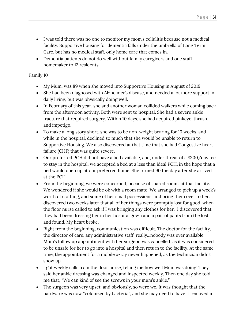- I was told there was no one to monitor my mom's cellulitis because not a medical facility. Supportive housing for dementia falls under the umbrella of Long Term Care, but has no medical staff, only home care that comes in.
- Dementia patients do not do well without family caregivers and one staff homemaker to 12 residents

- My Mum, was 89 when she moved into Supportive Housing in August of 2019.
- She had been diagnosed with Alzheimer's disease, and needed a lot more support in daily living, but was physically doing well.
- In February of this year, she and another woman collided walkers while coming back from the afternoon activity. Both were sent to hospital. She had a severe ankle fracture that required surgery. Within 10 days, she had acquired pinkeye, thrush, and impetigo.
- To make a long story short, she was to be non-weight bearing for 10 weeks, and while in the hospital, declined so much that she would be unable to return to Supportive Housing. We also discovered at that time that she had Congestive heart failure (CHF) that was quite severe.
- Our preferred PCH did not have a bed available, and, under threat of a \$200/day fee to stay in the hospital, we accepted a bed at a less than ideal PCH, in the hope that a bed would open up at our preferred home. She turned 90 the day after she arrived at the PCH.
- From the beginning, we were concerned, because of shared rooms at that facility. We wondered if she would be ok with a room mate. We arranged to pick up a week's worth of clothing, and some of her small possessions, and bring them over to her. I discovered two weeks later that all of her things were promptly lost for good, when the floor nurse called to ask if I was bringing any clothes for her. I discovered that they had been dressing her in her hospital gown and a pair of pants from the lost and found. My heart broke.
- Right from the beginning, communication was difficult. The doctor for the facility, the director of care, any administrative staff, really...nobody was ever available. Mum's follow up appointment with her surgeon was cancelled, as it was considered to be unsafe for her to go into a hospital and then return to the facility. At the same time, the appointment for a mobile x-ray never happened, as the technician didn't show up.
- I got weekly calls from the floor nurse, telling me how well Mum was doing. They said her ankle dressing was changed and inspected weekly. Then one day she told me that, "We can kind of see the screws in your mum's ankle."
- The surgeon was very upset, and obviously, so were we. It was thought that the hardware was now "colonized by bacteria", and she may need to have it removed in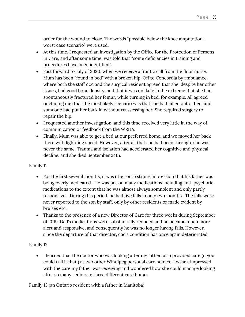order for the wound to close. The words "possible below the knee amputationworst case scenario" were used.

- At this time, I requested an investigation by the Office for the Protection of Persons in Care, and after some time, was told that "some deficiencies in training and procedures have been identified".
- Fast forward to July of 2020, when we receive a frantic call from the floor nurse. Mum has been "found in bed" with a broken hip. Off to Concordia by ambulance, where both the staff doc and the surgical resident agreed that she, despite her other issues, had good bone density, and that it was unlikely in the extreme that she had spontaneously fractured her femur, while turning in bed, for example. All agreed (including me) that the most likely scenario was that she had fallen out of bed, and someone had put her back in without reassessing her. She required surgery to repair the hip.
- I requested another investigation, and this time received very little in the way of communication or feedback from the WRHA.
- Finally, Mum was able to get a bed at our preferred home, and we moved her back there with lightning speed. However, after all that she had been through, she was never the same. Trauma and isolation had accelerated her cognitive and physical decline, and she died September 24th.

## Family 11

- For the first several months, it was (the son's) strong impression that his father was being overly medicated. He was put on many medications including anti-psychotic medications to the extent that he was almost always somnolent and only partly responsive. During this period, he had five falls in only two months. The falls were never reported to the son by staff, only by other residents or made evident by bruises etc.
- Thanks to the presence of a new Director of Care for three weeks during September of 2019. Dad's medications were substantially reduced and he became much more alert and responsive, and consequently he was no longer having falls. However, since the departure of that director, dad's condition has once again deteriorated.

## Family 12

• I learned that the doctor who was looking after my father, also provided care (if you could call it that!) at two other Winnipeg personal care homes. I wasn't impressed with the care my father was receiving and wondered how she could manage looking after so many seniors in three different care homes.

Family 13 (an Ontario resident with a father in Manitoba)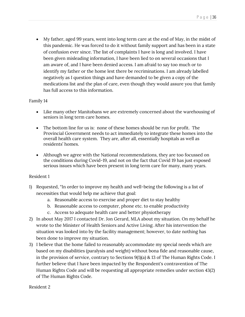• My father, aged 99 years, went into long term care at the end of May, in the midst of this pandemic. He was forced to do it without family support and has been in a state of confusion ever since. The list of complaints I have is long and involved. I have been given misleading information, I have been lied to on several occasions that I am aware of, and I have been denied access. I am afraid to say too much or to identify my father or the home lest there be recriminations. I am already labelled negatively as I question things and have demanded to be given a copy of the medications list and the plan of care, even though they would assure you that family has full access to this information.

## Family 14

- Like many other Manitobans we are extremely concerned about the warehousing of seniors in long term care homes.
- The bottom line for us is: none of these homes should be run for profit. The Provincial Government needs to act immediately to integrate these homes into the overall health care system. They are, after all, essentially hospitals as well as residents' homes.
- Although we agree with the National recommendations, they are too focussed on the conditions during Covid-19, and not on the fact that Covid 19 has just exposed serious issues which have been present in long term care for many, many years.

## Resident 1

- 1) Requested, "In order to improve my health and well-being the following is a list of necessities that would help me achieve that goal:
	- a. Reasonable access to exercise and proper diet to stay healthy
	- b. Reasonable access to computer, phone etc. to enable productivity
	- c. Access to adequate health care and better physiotherapy
- 2) In about May 2017 I contacted Dr. Jon Gerard, MLA about my situation. On my behalf he wrote to the Minister of Health Seniors and Active Living. After his intervention the situation was looked into by the facility management; however, to date nothing has been done to improve my situation.
- 3) I believe that the home failed to reasonably accommodate my special needs which are based on my disabilities (paralysis and weight) without bona fide and reasonable cause, in the provision of service, contrary to Sections 9(1)(a) & 13 of The Human Rights Code. I further believe that I have been impacted by the Respondent's contravention of The Human Rights Code and will be requesting all appropriate remedies under section 43(2) of The Human Rights Code.

Resident 2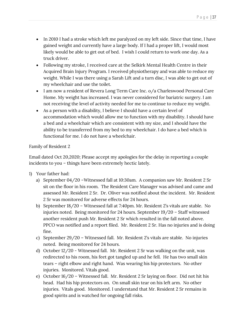- In 2010 I had a stroke which left me paralyzed on my left side. Since that time, I have gained weight and currently have a large body. If I had a proper lift, I would most likely would be able to get out of bed. I wish I could return to work one day. As a truck driver.
- Following my stroke, I received care at the Selkirk Mental Health Centre in their Acquired Brain Injury Program. I received physiotherapy and was able to reduce my weight. While I was there using a Sarah Lift and a turn disc, I was able to get out of my wheelchair and use the toilet.
- I am now a resident of Revera Long Term Care Inc. o/a Charleswood Personal Care Home. My weight has increased. I was never considered for bariatric surgery. I am not receiving the level of activity needed for me to continue to reduce my weight.
- As a person with a disability, I believe I should have a certain level of accommodation which would allow me to function with my disability. I should have a bed and a wheelchair which are consistent with my size, and I should have the ability to be transferred from my bed to my wheelchair. I do have a bed which is functional for me. I do not have a wheelchair.

# Family of Resident 2

Email dated Oct 20,2020; Please accept my apologies for the delay in reporting a couple incidents to you – things have been extremely hectic lately.

- 1) Your father had:
	- a) September 04/20 –Witnessed fall at 10:30am. A companion saw Mr. Resident 2 Sr sit on the floor in his room. The Resident Care Manager was advised and came and assessed Mr. Resident 2 Sr. Dr. Oliver was notified about the incident. Mr. Resident 2 Sr was monitored for adverse effects for 24 hours.
	- b) September 18/20 Witnessed fall at 7:40pm. Mr. Resident 2's vitals are stable. No injuries noted. Being monitored for 24 hours. September 19/20 – Staff witnessed another resident push Mr. Resident 2 Sr which resulted in the fall noted above. PPCO was notified and a report filed. Mr. Resident 2 Sr. Has no injuries and is doing fine.
	- c) September 29/20 Witnessed fall. Mr. Resident 2's vitals are stable. No injuries noted. Being monitored for 24 hours.
	- d) October 12/20 Witnessed fall. Mr. Resident 2 Sr was walking on the unit, was redirected to his room, his feet got tangled up and he fell. He has two small skin tears – right elbow and right hand. Was wearing his hip protectors. No other injuries. Monitored. Vitals good.
	- e) October 16/20 Witnessed fall. Mr. Resident 2 Sr laying on floor. Did not hit his head. Had his hip protectors on. On small skin tear on his left arm. No other injuries. Vitals good. Monitored. I understand that Mr. Resident 2 Sr remains in good spirits and is watched for ongoing fall risks.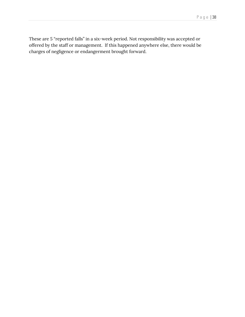These are 5 "reported falls" in a six-week period. Not responsibility was accepted or offered by the staff or management. If this happened anywhere else, there would be charges of negligence or endangerment brought forward.